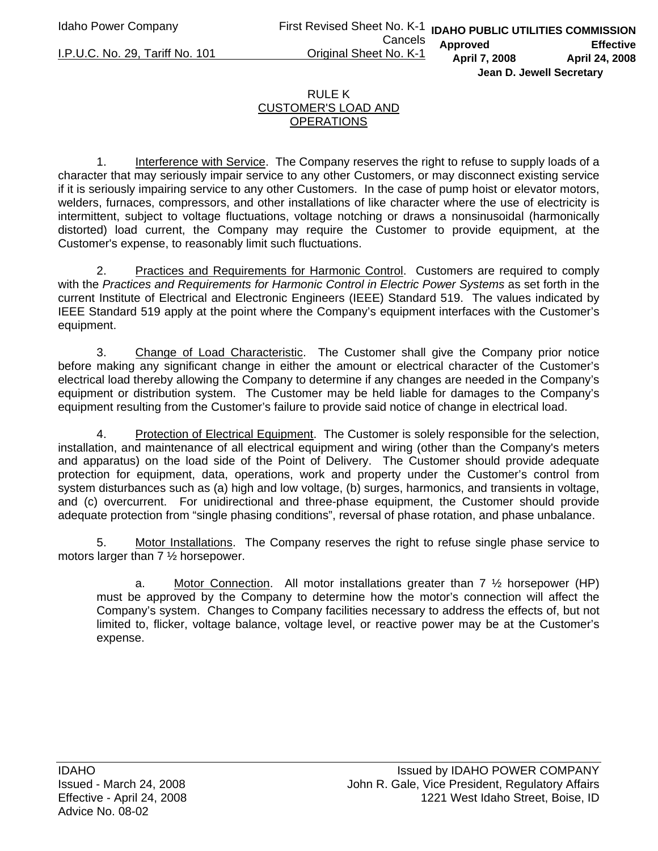## RULE K CUSTOMER'S LOAD AND **OPERATIONS**

1. Interference with Service. The Company reserves the right to refuse to supply loads of a character that may seriously impair service to any other Customers, or may disconnect existing service if it is seriously impairing service to any other Customers. In the case of pump hoist or elevator motors, welders, furnaces, compressors, and other installations of like character where the use of electricity is intermittent, subject to voltage fluctuations, voltage notching or draws a nonsinusoidal (harmonically distorted) load current, the Company may require the Customer to provide equipment, at the Customer's expense, to reasonably limit such fluctuations.

2. Practices and Requirements for Harmonic Control. Customers are required to comply with the *Practices and Requirements for Harmonic Control in Electric Power Systems* as set forth in the current Institute of Electrical and Electronic Engineers (IEEE) Standard 519. The values indicated by IEEE Standard 519 apply at the point where the Company's equipment interfaces with the Customer's equipment.

3. Change of Load Characteristic. The Customer shall give the Company prior notice before making any significant change in either the amount or electrical character of the Customer's electrical load thereby allowing the Company to determine if any changes are needed in the Company's equipment or distribution system. The Customer may be held liable for damages to the Company's equipment resulting from the Customer's failure to provide said notice of change in electrical load.

 4. Protection of Electrical Equipment. The Customer is solely responsible for the selection, installation, and maintenance of all electrical equipment and wiring (other than the Company's meters and apparatus) on the load side of the Point of Delivery. The Customer should provide adequate protection for equipment, data, operations, work and property under the Customer's control from system disturbances such as (a) high and low voltage, (b) surges, harmonics, and transients in voltage, and (c) overcurrent. For unidirectional and three-phase equipment, the Customer should provide adequate protection from "single phasing conditions", reversal of phase rotation, and phase unbalance.

5. Motor Installations. The Company reserves the right to refuse single phase service to motors larger than 7 ½ horsepower.

a. Motor Connection. All motor installations greater than  $7\frac{1}{2}$  horsepower (HP) must be approved by the Company to determine how the motor's connection will affect the Company's system. Changes to Company facilities necessary to address the effects of, but not limited to, flicker, voltage balance, voltage level, or reactive power may be at the Customer's expense.